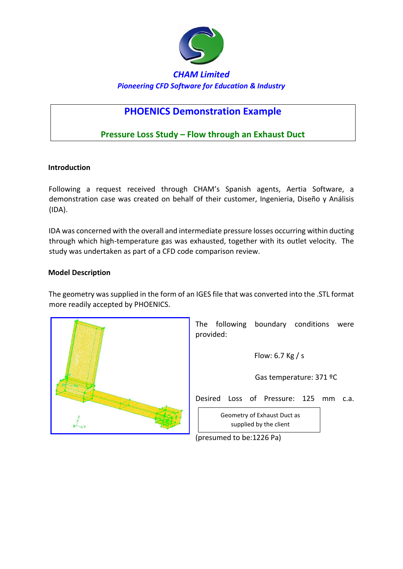

# **PHOENICS Demonstration Example**

# **Pressure Loss Study – Flow through an Exhaust Duct**

#### **Introduction**

Following a request received through CHAM's Spanish agents, Aertia Software, a demonstration case was created on behalf of their customer, Ingenieria, Diseño y Análisis (IDA).

IDA was concerned with the overall and intermediate pressure losses occurring within ducting through which high-temperature gas was exhausted, together with its outlet velocity. The study was undertaken as part of a CFD code comparison review.

#### **Model Description**

The geometry was supplied in the form of an IGES file that was converted into the .STL format more readily accepted by PHOENICS.



The following boundary conditions were provided:

Flow: 6.7 Kg / s

Gas temperature: 371 ºC

Desired Loss of Pressure: 125 mm c.a.

Geometry of Exhaust Duct as supplied by the client

(presumed to be:1226 Pa)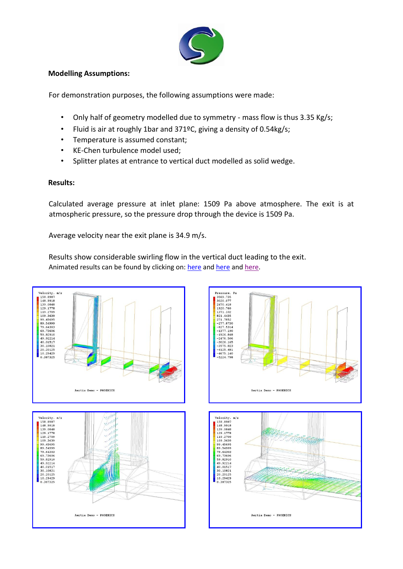

## **Modelling Assumptions:**

For demonstration purposes, the following assumptions were made:

- Only half of geometry modelled due to symmetry mass flow is thus 3.35 Kg/s;
- Fluid is air at roughly 1bar and 371ºC, giving a density of 0.54kg/s;
- Temperature is assumed constant;
- KE-Chen turbulence model used;
- Splitter plates at entrance to vertical duct modelled as solid wedge.

## **Results:**

Calculated average pressure at inlet plane: 1509 Pa above atmosphere. The exit is at atmospheric pressure, so the pressure drop through the device is 1509 Pa.

Average velocity near the exit plane is 34.9 m/s.

Results show considerable swirling flow in the vertical duct leading to the exit. Animated results can be found by clicking on: here and here and here.